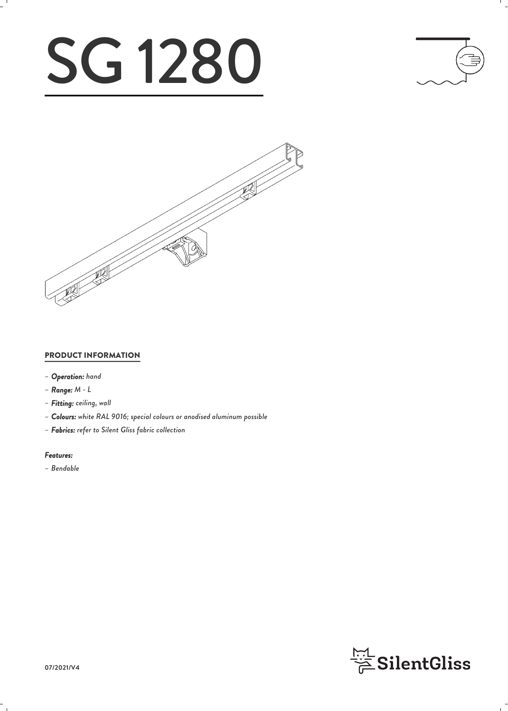# SG 1280





#### PRODUCT INFORMATION

- *– Operation: hand*
- *– Range: M L*
- *– Fitting: ceiling, wall*
- *– Colours: white RAL 9016; special colours or anodised aluminum possible*
- *– Fabrics: refer to Silent Gliss fabric collection*

#### *Features:*

*– Bendable*

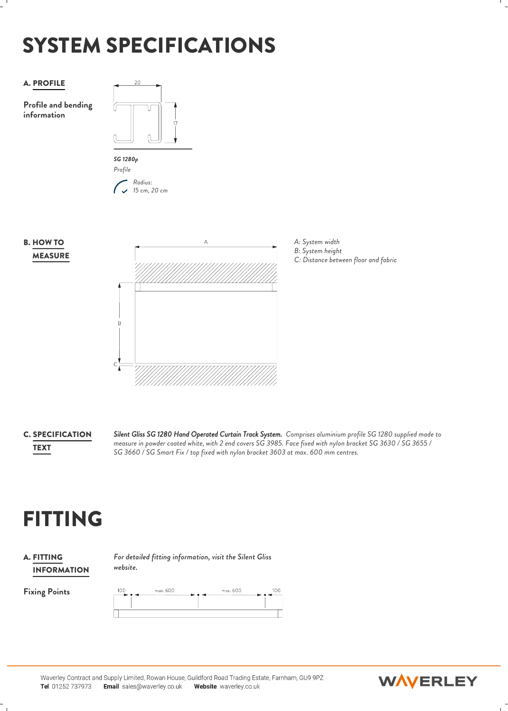## SYSTEM SPECIFICATIONS



**C. SPECIFICATION** Silent Gliss S

*Silent Gliss SG 1280 Hand Operated Curtain Track System. Comprises aluminium profile SG 1280 supplied made to measure in powder coated white, with 2 end covers SG 3985. Face fixed with nylon bracket SG 3630 / SG 3655 / SG 3660 / SG Smart Fix / top fixed with nylon bracket 3603 at max. 600 mm centres.* TEXT

## FITTING

#### **A. FITTING**  $F_c$ INFORMATION

*For detailed fitting information, visit the Silent Gliss website.*

Fixing Points 100 max.600 max, 600 100

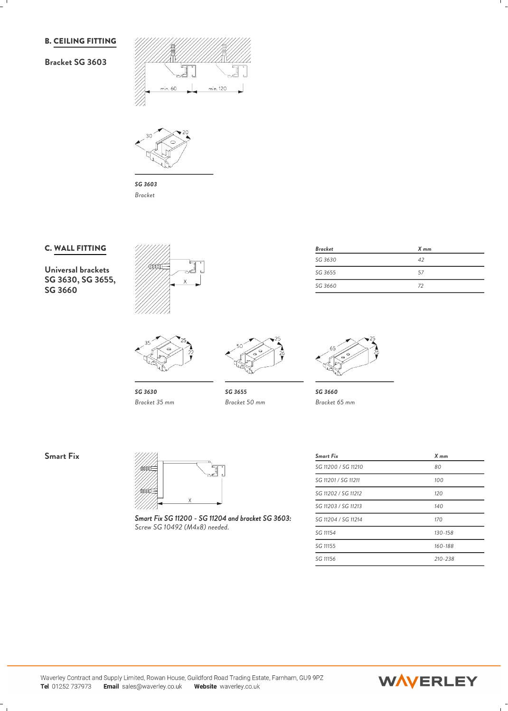#### B. CEILING FITTING

#### **Bracket SG 3603**





*SG 3603 Bracket*

#### C. WALL FITTING

**Universal brackets SG 3630, SG 3655, SG 3660**





*SG 3630 Bracket 35 mm*

| Bracket | X mm |
|---------|------|
| SG 3630 | 42   |
| SG 3655 | 57   |
| SG 3660 | 72   |



*SG 3655 SG 3660 Bracket 50 mm Bracket 65 mm*

**Smart Fix**



*Smart Fix SG 11200 - SG 11204 and bracket SG 3603: Screw SG 10492 (M4x8) needed.*

| <b>Smart Fix</b>    | $X$ mm      |  |
|---------------------|-------------|--|
| SG 11200 / SG 11210 | 80          |  |
| SG 11201 / SG 11211 | 100         |  |
| SG 11202 / SG 11212 | 120         |  |
| SG 11203 / SG 11213 | 140         |  |
| SG 11204 / SG 11214 | 170         |  |
| SG 11154            | $130 - 158$ |  |
| SG 11155            | 160-188     |  |
| SG 11156            | 210-238     |  |

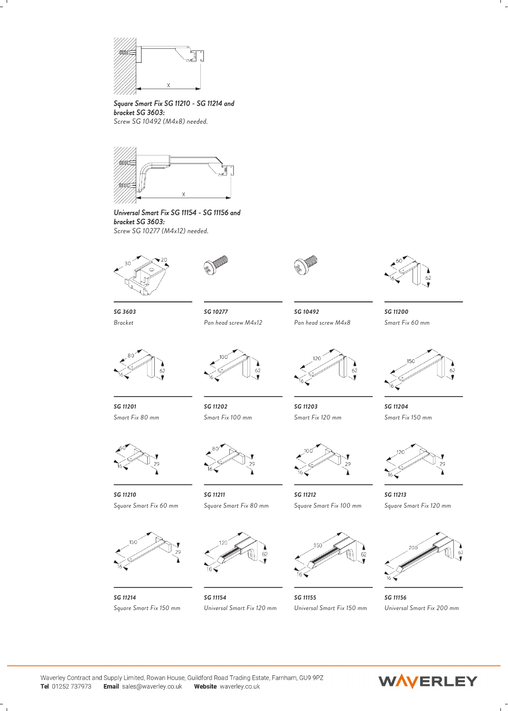

*Square Smart Fix SG 11210 - SG 11214 and bracket SG 3603:*

*Screw SG 10492 (M4x8) needed.*



*Universal Smart Fix SG 11154 - SG 11156 and bracket SG 3603: Screw SG 10277 (M4x12) needed.*





*SG 10277 SG 10492 SG 11200*



*Smart Fix 60 mm*



*SG 11203 SG 11204 Smart Fix 120 mm Smart Fix 150 mm*



*SG 11212 SG 11213 Square Smart Fix 120 mm*



*SG 11155 SG 11156 Universal Smart Fix 150 mm Universal Smart Fix 200 mm*



*SG 3603 Pan head screw M4x12 Pan head screw M4x8*



*SG 11201 Smart Fix 80 mm*



*Square Smart Fix 60 mm*



*SG 11214*

Email sales@waverley.co.uk

Tel 01252 737973



*SG 11210 SG 11211*



*Square Smart Fix 150 mm*



*SG 11154 Universal Smart Fix 120 mm*



Waverley Contract and Supply Limited, Rowan House, Guildford Road Trading Estate, Farnham, GU9 9PZ Website waverley.co.uk





*SG 11202 Smart Fix 100 mm*

*Square Smart Fix 80 mm Square Smart Fix 100 mm*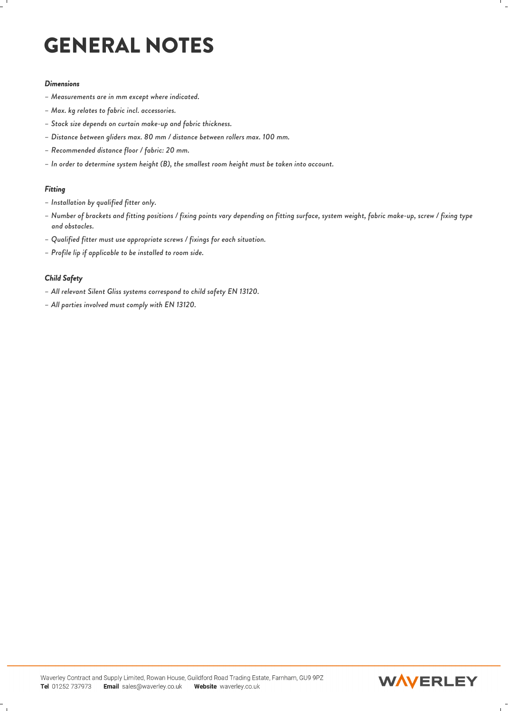## GENERAL NOTES

#### *Dimensions*

- *– Measurements are in mm except where indicated.*
- *– Max. kg relates to fabric incl. accessories.*
- *– Stack size depends on curtain make-up and fabric thickness.*
- *– Distance between gliders max. 80 mm / distance between rollers max. 100 mm.*
- *– Recommended distance floor / fabric: 20 mm.*
- *– In order to determine system height (B), the smallest room height must be taken into account.*

#### *Fitting*

- *– Installation by qualified fitter only.*
- *– Number of brackets and fitting positions / fixing points vary depending on fitting surface, system weight, fabric make-up, screw / fixing type and obstacles. – Max. kg relates to fabric inci. accessories.*<br>- Stack size depends on curtain make-up and fabric thickness.<br>- Distance between gliders max. 80 mm / distance between rollers max. 100 mm.<br>- Recommended distance floor / fa
- *– Qualified fitter must use appropriate screws / fixings for each situation.*
- *– Profile lip if applicable to be installed to room side.*

#### *Child Safety*

- 
- 

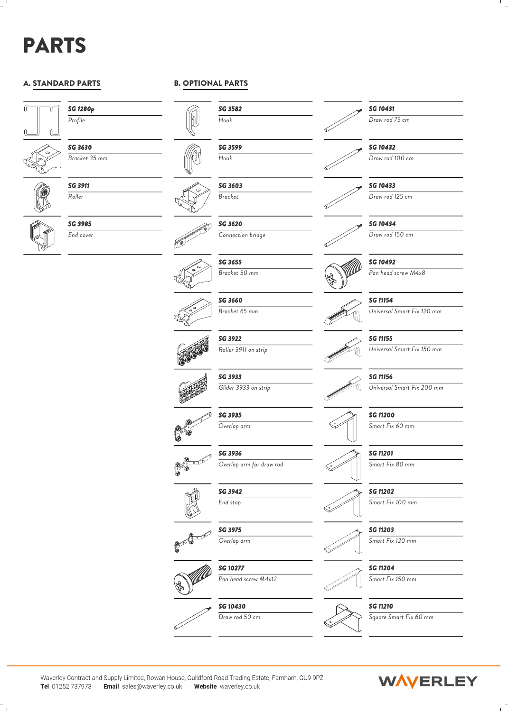## PARTS

#### A. STANDARD PARTS



**SG 1280p**<br>Profile **Figure 1** *Profile*



*SG 3630 Bracket 35 mm*



*SG 3911 Roller*



*SG 3985 End cover*

#### B. OPTIONAL PARTS



*SG 3599 Hook*

*SG 3603 Bracket*

> *SG 3620 Connection bridge*



*SG 3655 Bracket 50 mm*



*SG 3660 Bracket 65 mm*













*SG 10431*

*Draw rod 75 cm*



*Draw rod 100 cm*

*SG 10433*

*Draw rod 125 cm*

*SG 10434 Draw rod 150 cm*



*SG 10492 Pan head screw M4x8*



*SG 11154 Universal Smart Fix 120 mm*

### *SG 11155*

*SG 11156*

*Universal Smart Fix 150 mm*



*Universal Smart Fix 200 mm*



*SG 11200 Smart Fix 60 mm*

*SG 11201*

*Smart Fix 80 mm*



*Smart Fix 100 mm*



*Smart Fix 120 mm*



*Smart Fix 150 mm*



*Square Smart Fix 60 mm*



*SG 3942 End stop*































*Draw rod 50 cm*

*Roller 3911 on strip SG 3933*

*SG 3922*

*SG 3935 Overlap arm*

*SG 3936*

*Overlap arm for draw rod*

*Glider 3933 on strip*



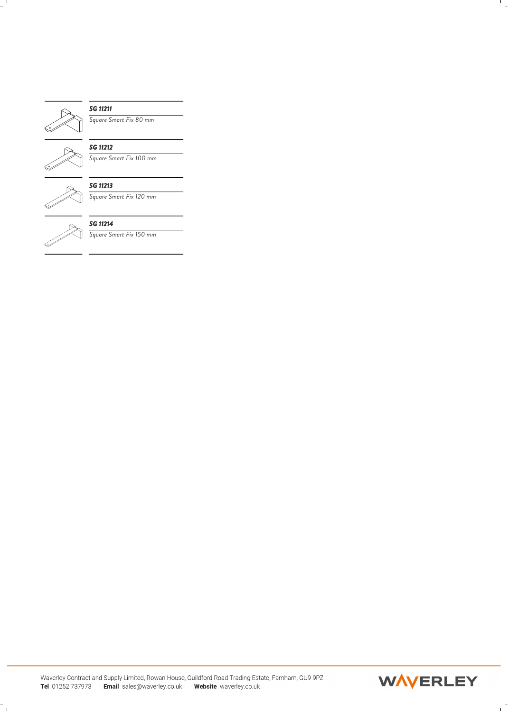

#### *SG 11211*

*Square Smart Fix 80 mm*



### *SG 11212*

*Square Smart Fix 100 mm*



*SG 11213 Square Smart Fix 120 mm*



#### *SG 11214*

*Square Smart Fix 150 mm*